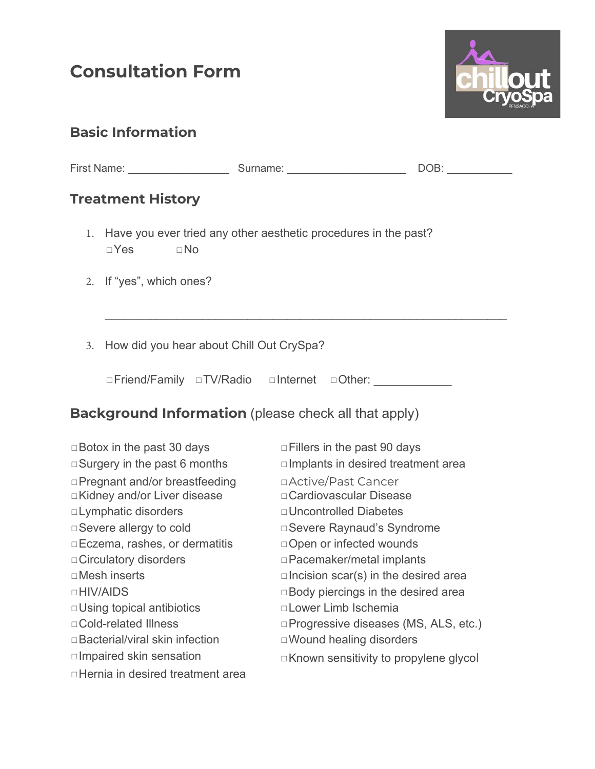# **Consultation Form**



### **Basic Information**

|                                                             | <b>Treatment History</b>                                                                         |                                                         |  |                                                |  |  |
|-------------------------------------------------------------|--------------------------------------------------------------------------------------------------|---------------------------------------------------------|--|------------------------------------------------|--|--|
|                                                             | 1. Have you ever tried any other aesthetic procedures in the past?<br>$\square$ No<br>$\Box$ Yes |                                                         |  |                                                |  |  |
|                                                             | 2. If "yes", which ones?                                                                         |                                                         |  |                                                |  |  |
| 3.                                                          | How did you hear about Chill Out CrySpa?                                                         |                                                         |  |                                                |  |  |
|                                                             |                                                                                                  | □Friend/Family □TV/Radio □Internet □Other: ____________ |  |                                                |  |  |
| <b>Background Information</b> (please check all that apply) |                                                                                                  |                                                         |  |                                                |  |  |
| $\Box$ Botox in the past 30 days                            |                                                                                                  |                                                         |  | $\Box$ Fillers in the past 90 days             |  |  |
| $\Box$ Surgery in the past 6 months                         |                                                                                                  |                                                         |  | □ Implants in desired treatment area           |  |  |
| □ Pregnant and/or breastfeeding                             |                                                                                                  |                                                         |  | □ Active/Past Cancer                           |  |  |
| □Kidney and/or Liver disease                                |                                                                                                  |                                                         |  | □ Cardiovascular Disease                       |  |  |
| □ Lymphatic disorders                                       |                                                                                                  |                                                         |  | □ Uncontrolled Diabetes                        |  |  |
| □ Severe allergy to cold                                    |                                                                                                  |                                                         |  | □ Severe Raynaud's Syndrome                    |  |  |
| □ Eczema, rashes, or dermatitis                             |                                                                                                  |                                                         |  | □ Open or infected wounds                      |  |  |
| □ Circulatory disorders                                     |                                                                                                  |                                                         |  | □ Pacemaker/metal implants                     |  |  |
| $\square$ Mesh inserts                                      |                                                                                                  |                                                         |  | $\square$ Incision scar(s) in the desired area |  |  |
| □HIV/AIDS                                                   |                                                                                                  |                                                         |  | □ Body piercings in the desired area           |  |  |
| □ Using topical antibiotics                                 |                                                                                                  |                                                         |  | □ Lower Limb Ischemia                          |  |  |
| □ Cold-related Illness                                      |                                                                                                  |                                                         |  | □Progressive diseases (MS, ALS, etc.)          |  |  |
| □ Bacterial/viral skin infection                            |                                                                                                  |                                                         |  | □ Wound healing disorders                      |  |  |
|                                                             | □ Impaired skin sensation                                                                        |                                                         |  | □Known sensitivity to propylene glycol         |  |  |
| □ Hernia in desired treatment area                          |                                                                                                  |                                                         |  |                                                |  |  |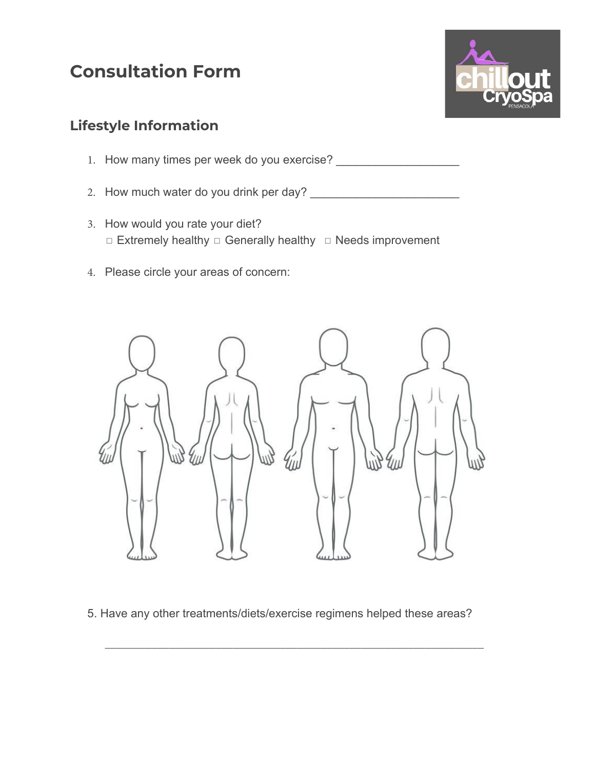### **Consultation Form**



#### **Lifestyle Information**

- 1. How many times per week do you exercise? \_\_\_\_\_\_\_\_\_\_\_\_\_\_\_\_\_\_\_
- 2. How much water do you drink per day? \_\_\_\_\_\_\_\_\_\_\_\_\_\_\_\_\_\_\_\_\_\_\_
- **□ Extremely healthy □ Generally healthy □ Needs improvement** 3. How would you rate your diet?
- 4. Please circle your areas of concern:



5. Have any other treatments/diets/exercise regimens helped these areas?

\_\_\_\_\_\_\_\_\_\_\_\_\_\_\_\_\_\_\_\_\_\_\_\_\_\_\_\_\_\_\_\_\_\_\_\_\_\_\_\_\_\_\_\_\_\_\_\_\_\_\_\_\_\_\_\_\_\_\_\_\_\_\_\_\_